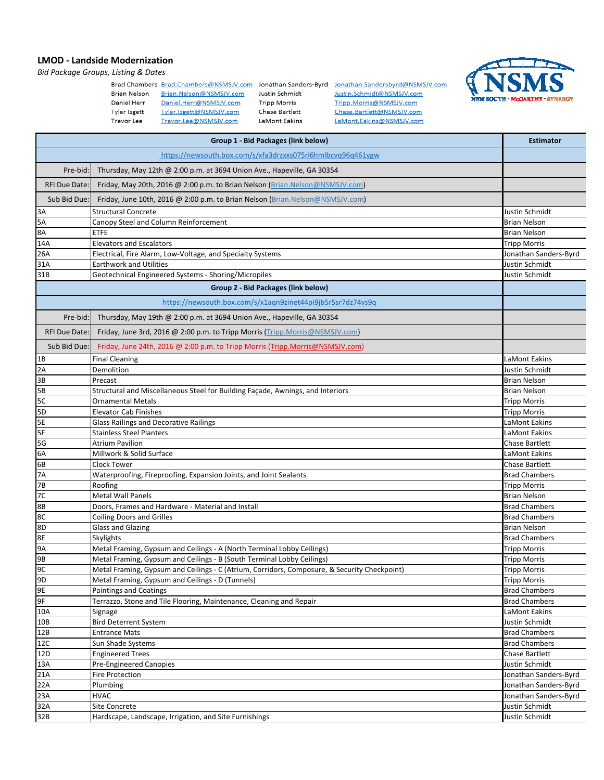## **LMOD - Landside Modernization**

*Bid Package Groups, Listing & Dates*

| <b>Brian Nelson</b> | Brad Chambers Brad.Chambers@NSMSJV.com<br>Brian.Nelson@NSMSJV.com | Jonathan Sanders-Byrd<br><b>Justin Schmidt</b> |
|---------------------|-------------------------------------------------------------------|------------------------------------------------|
| <b>Daniel Herr</b>  | Daniel.Herr@NSMSJV.com                                            | <b>Tripp Morris</b>                            |
| <b>Tyler Isgett</b> | Tyler.isgett@NSMSJV.com                                           | <b>Chase Bartlett</b>                          |
| <b>Trevor Lee</b>   | Trevor.Lee@NSMSJV.com                                             | LaMont Eakins                                  |

Jonathan.Sandersbyrd@NSMSJV.com Justin.Schmidt@NSMSJV.com Tripp.Morris@NSMSJV.com Chase.Bartlett@NSMSJV.com LaMont.Eakins@NSMSJV.com



| Group 1 - Bid Packages (link below) |                                                                                              |                                              |
|-------------------------------------|----------------------------------------------------------------------------------------------|----------------------------------------------|
|                                     |                                                                                              |                                              |
| Pre-bid:                            | Thursday, May 12th @ 2:00 p.m. at 3694 Union Ave., Hapeville, GA 30354                       |                                              |
| RFI Due Date:                       | Friday, May 20th, 2016 @ 2:00 p.m. to Brian Nelson (Brian.Nelson@NSMSJV.com)                 |                                              |
| Sub Bid Due:                        | Friday, June 10th, 2016 @ 2:00 p.m. to Brian Nelson (Brian.Nelson@NSMSJV.com)                |                                              |
| 3A                                  | <b>Structural Concrete</b>                                                                   | Justin Schmidt                               |
| 5A                                  | Canopy Steel and Column Reinforcement                                                        | <b>Brian Nelson</b>                          |
| 8A                                  | ETFE                                                                                         | <b>Brian Nelson</b>                          |
| 14A                                 | <b>Elevators and Escalators</b>                                                              | <b>Tripp Morris</b>                          |
| 26A                                 | Electrical, Fire Alarm, Low-Voltage, and Specialty Systems                                   | Jonathan Sanders-Byrd                        |
| 31A                                 | <b>Earthwork and Utilities</b>                                                               | Justin Schmidt                               |
| 31B                                 | Geotechnical Engineered Systems - Shoring/Micropiles                                         | Justin Schmidt                               |
|                                     | Group 2 - Bid Packages (link below)                                                          |                                              |
|                                     | https://newsouth.box.com/s/x1agn9zinet44pi9jb5r5sr7dz74vs9g                                  |                                              |
| Pre-bid:                            | Thursday, May 19th @ 2:00 p.m. at 3694 Union Ave., Hapeville, GA 30354                       |                                              |
| RFI Due Date:                       | Friday, June 3rd, 2016 @ 2:00 p.m. to Tripp Morris (Tripp.Morris @NSMSJV.com)                |                                              |
| Sub Bid Due:                        | Friday, June 24th, 2016 @ 2:00 p.m. to Tripp Morris (Tripp.Morris@NSMSJV.com)                |                                              |
| 1B                                  | <b>Final Cleaning</b>                                                                        | LaMont Eakins                                |
| 2A                                  | Demolition                                                                                   | Justin Schmidt                               |
| 3B                                  | Precast                                                                                      | <b>Brian Nelson</b>                          |
| 5B                                  | Structural and Miscellaneous Steel for Building Façade, Awnings, and Interiors               | <b>Brian Nelson</b>                          |
| 5C                                  | <b>Ornamental Metals</b>                                                                     | <b>Tripp Morris</b>                          |
| 5D                                  | <b>Elevator Cab Finishes</b>                                                                 | <b>Tripp Morris</b>                          |
| 5E                                  | <b>Glass Railings and Decorative Railings</b>                                                | LaMont Eakins                                |
| 5F                                  | Stainless Steel Planters                                                                     | LaMont Eakins                                |
| 5G                                  | <b>Atrium Pavilion</b>                                                                       | Chase Bartlett                               |
| 6A                                  | Millwork & Solid Surface                                                                     | LaMont Eakins                                |
| 6B                                  | <b>Clock Tower</b>                                                                           | Chase Bartlett                               |
| 7A                                  | Waterproofing, Fireproofing, Expansion Joints, and Joint Sealants                            | <b>Brad Chambers</b>                         |
| 7B                                  | Roofing                                                                                      | <b>Tripp Morris</b>                          |
| 7C                                  | <b>Metal Wall Panels</b>                                                                     | <b>Brian Nelson</b>                          |
| 8B                                  | Doors, Frames and Hardware - Material and Install                                            | <b>Brad Chambers</b>                         |
| 8C                                  | <b>Coiling Doors and Grilles</b>                                                             | <b>Brad Chambers</b>                         |
| 8D                                  | <b>Glass and Glazing</b>                                                                     | <b>Brian Nelson</b>                          |
| 8E                                  | Skylights                                                                                    | <b>Brad Chambers</b>                         |
| <b>9A</b>                           | Metal Framing, Gypsum and Ceilings - A (North Terminal Lobby Ceilings)                       | <b>Tripp Morris</b>                          |
| <b>9B</b>                           | Metal Framing, Gypsum and Ceilings - B (South Terminal Lobby Ceilings)                       | <b>Tripp Morris</b>                          |
| 9C                                  | Metal Framing, Gypsum and Ceilings - C (Atrium, Corridors, Composure, & Security Checkpoint) | <b>Tripp Morris</b>                          |
| 9D                                  | Metal Framing, Gypsum and Ceilings - D (Tunnels)                                             | <b>Tripp Morris</b>                          |
| 9E                                  | <b>Paintings and Coatings</b>                                                                | <b>Brad Chambers</b>                         |
| 9F                                  | Terrazzo, Stone and Tile Flooring, Maintenance, Cleaning and Repair                          | <b>Brad Chambers</b>                         |
| 10A                                 | Signage                                                                                      | LaMont Eakins                                |
| 10B                                 | <b>Bird Deterrent System</b>                                                                 | Justin Schmidt                               |
| 12B                                 | <b>Entrance Mats</b>                                                                         | <b>Brad Chambers</b><br><b>Brad Chambers</b> |
| 12C                                 | Sun Shade Systems                                                                            | Chase Bartlett                               |
| 12D                                 | <b>Engineered Trees</b>                                                                      |                                              |
| 13A<br>21A                          | <b>Pre-Engineered Canopies</b><br><b>Fire Protection</b>                                     | Justin Schmidt<br>Jonathan Sanders-Byrd      |
| 22A                                 | Plumbing                                                                                     | Jonathan Sanders-Byrd                        |
| 23A                                 | <b>HVAC</b>                                                                                  | Jonathan Sanders-Byrd                        |
| 32A                                 | Site Concrete                                                                                | Justin Schmidt                               |
| 32B                                 | Hardscape, Landscape, Irrigation, and Site Furnishings                                       | Justin Schmidt                               |
|                                     |                                                                                              |                                              |